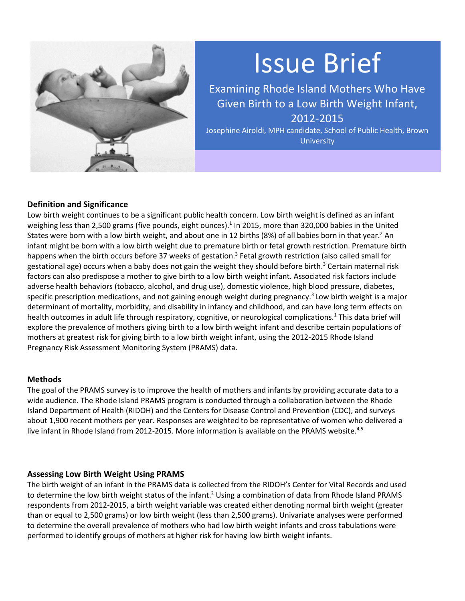

# Issue Brief

Examining Rhode Island Mothers Who Have Given Birth to a Low Birth Weight Infant, 2012-2015

Josephine Airoldi, MPH candidate, School of Public Health, Brown **University** 

# **Definition and Significance**

Low birth weight continues to be a significant public health concern. Low birth weight is defined as an infant weighing less than 2,500 grams (five pounds, eight ounces).<sup>1</sup> In 2015, more than 320,000 babies in the United States were born with a low birth weight, and about one in 12 births (8%) of all babies born in that year.<sup>2</sup> An infant might be born with a low birth weight due to premature birth or fetal growth restriction. Premature birth happens when the birth occurs before 37 weeks of gestation.<sup>3</sup> Fetal growth restriction (also called small for gestational age) occurs when a baby does not gain the weight they should before birth.<sup>3</sup> Certain maternal risk factors can also predispose a mother to give birth to a low birth weight infant. Associated risk factors include adverse health behaviors (tobacco, alcohol, and drug use), domestic violence, high blood pressure, diabetes, specific prescription medications, and not gaining enough weight during pregnancy.<sup>3</sup> Low birth weight is a major determinant of mortality, morbidity, and disability in infancy and childhood, and can have long term effects on health outcomes in adult life through respiratory, cognitive, or neurological complications.<sup>1</sup> This data brief will explore the prevalence of mothers giving birth to a low birth weight infant and describe certain populations of mothers at greatest risk for giving birth to a low birth weight infant, using the 2012-2015 Rhode Island Pregnancy Risk Assessment Monitoring System (PRAMS) data.

#### **Methods**

The goal of the PRAMS survey is to improve the health of mothers and infants by providing accurate data to a wide audience. The Rhode Island PRAMS program is conducted through a collaboration between the Rhode Island Department of Health (RIDOH) and the Centers for Disease Control and Prevention (CDC), and surveys about 1,900 recent mothers per year. Responses are weighted to be representative of women who delivered a live infant in Rhode Island from 2012-2015. More information is available on the PRAMS website.<sup>4,5</sup>

## **Assessing Low Birth Weight Using PRAMS**

The birth weight of an infant in the PRAMS data is collected from the RIDOH's Center for Vital Records and used to determine the low birth weight status of the infant.<sup>2</sup> Using a combination of data from Rhode Island PRAMS respondents from 2012-2015, a birth weight variable was created either denoting normal birth weight (greater than or equal to 2,500 grams) or low birth weight (less than 2,500 grams). Univariate analyses were performed to determine the overall prevalence of mothers who had low birth weight infants and cross tabulations were performed to identify groups of mothers at higher risk for having low birth weight infants.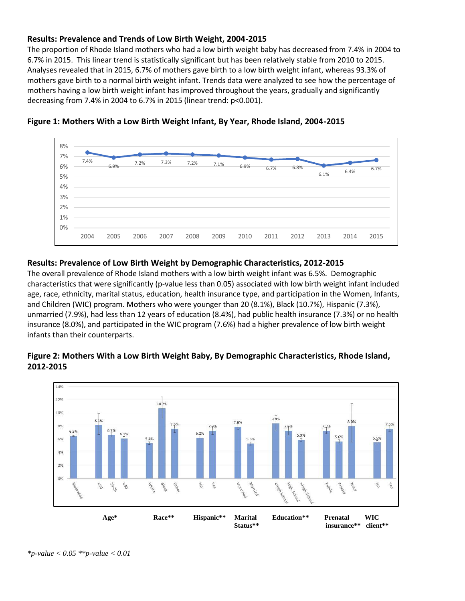## **Results: Prevalence and Trends of Low Birth Weight, 2004-2015**

The proportion of Rhode Island mothers who had a low birth weight baby has decreased from 7.4% in 2004 to 6.7% in 2015. This linear trend is statistically significant but has been relatively stable from 2010 to 2015. Analyses revealed that in 2015, 6.7% of mothers gave birth to a low birth weight infant, whereas 93.3% of mothers gave birth to a normal birth weight infant. Trends data were analyzed to see how the percentage of mothers having a low birth weight infant has improved throughout the years, gradually and significantly decreasing from 7.4% in 2004 to 6.7% in 2015 (linear trend: p<0.001).



#### **Figure 1: Mothers With a Low Birth Weight Infant, By Year, Rhode Island, 2004-2015**

## **Results: Prevalence of Low Birth Weight by Demographic Characteristics, 2012-2015**

The overall prevalence of Rhode Island mothers with a low birth weight infant was 6.5%. Demographic characteristics that were significantly (p-value less than 0.05) associated with low birth weight infant included age, race, ethnicity, marital status, education, health insurance type, and participation in the Women, Infants, and Children (WIC) program. Mothers who were younger than 20 (8.1%), Black (10.7%), Hispanic (7.3%), unmarried (7.9%), had less than 12 years of education (8.4%), had public health insurance (7.3%) or no health insurance (8.0%), and participated in the WIC program (7.6%) had a higher prevalence of low birth weight infants than their counterparts.

# **Figure 2: Mothers With a Low Birth Weight Baby, By Demographic Characteristics, Rhode Island, 2012-2015**

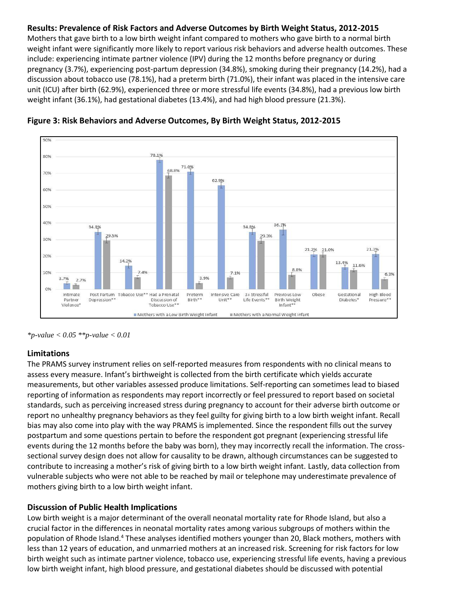## **Results: Prevalence of Risk Factors and Adverse Outcomes by Birth Weight Status, 2012-2015**

Mothers that gave birth to a low birth weight infant compared to mothers who gave birth to a normal birth weight infant were significantly more likely to report various risk behaviors and adverse health outcomes. These include: experiencing intimate partner violence (IPV) during the 12 months before pregnancy or during pregnancy (3.7%), experiencing post-partum depression (34.8%), smoking during their pregnancy (14.2%), had a discussion about tobacco use (78.1%), had a preterm birth (71.0%), their infant was placed in the intensive care unit (ICU) after birth (62.9%), experienced three or more stressful life events (34.8%), had a previous low birth weight infant (36.1%), had gestational diabetes (13.4%), and had high blood pressure (21.3%).





*\*p-value < 0.05 \*\*p-value < 0.01*

## **Limitations**

The PRAMS survey instrument relies on self-reported measures from respondents with no clinical means to assess every measure. Infant's birthweight is collected from the birth certificate which yields accurate measurements, but other variables assessed produce limitations. Self-reporting can sometimes lead to biased reporting of information as respondents may report incorrectly or feel pressured to report based on societal standards, such as perceiving increased stress during pregnancy to account for their adverse birth outcome or report no unhealthy pregnancy behaviors as they feel guilty for giving birth to a low birth weight infant. Recall bias may also come into play with the way PRAMS is implemented. Since the respondent fills out the survey postpartum and some questions pertain to before the respondent got pregnant (experiencing stressful life events during the 12 months before the baby was born), they may incorrectly recall the information. The crosssectional survey design does not allow for causality to be drawn, although circumstances can be suggested to contribute to increasing a mother's risk of giving birth to a low birth weight infant. Lastly, data collection from vulnerable subjects who were not able to be reached by mail or telephone may underestimate prevalence of mothers giving birth to a low birth weight infant.

## **Discussion of Public Health Implications**

Low birth weight is a major determinant of the overall neonatal mortality rate for Rhode Island, but also a crucial factor in the differences in neonatal mortality rates among various subgroups of mothers within the population of Rhode Island.<sup>4</sup> These analyses identified mothers younger than 20, Black mothers, mothers with less than 12 years of education, and unmarried mothers at an increased risk. Screening for risk factors for low birth weight such as intimate partner violence, tobacco use, experiencing stressful life events, having a previous low birth weight infant, high blood pressure, and gestational diabetes should be discussed with potential